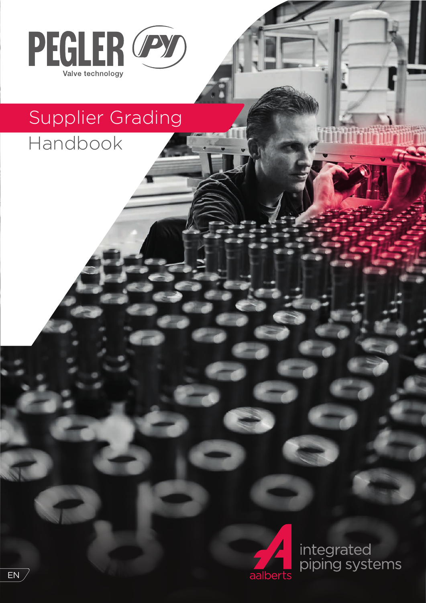

# Supplier Grading

Handbook



integrated<br>piping systems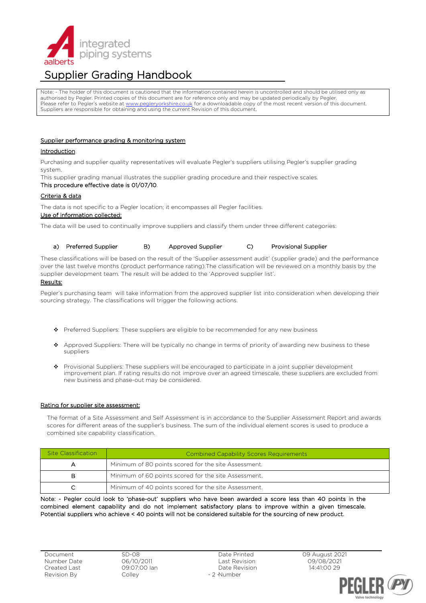

# Supplier Grading Handbook

Note: - The holder of this document is cautioned that the information contained herein is uncontrolled and should be utilised only as authorised by Pegler. Printed copies of this document are for reference only and may be updated periodically by Pegler. Please refer to Pegler's website at [www.pegleryorkshire.co.uk](http://www.pegleryorkshire.co.uk/) for a downloadable copy of the most recent version of this document. Suppliers are responsible for obtaining and using the current Revision of this document.

# Supplier performance grading & monitoring system

# Introduction

Purchasing and supplier quality representatives will evaluate Pegler's suppliers utilising Pegler's supplier grading system.

This supplier grading manual illustrates the supplier grading procedure and their respective scales.

#### This procedure effective date is 01/07/10.

## Criteria & data

The data is not specific to a Pegler location; it encompasses all Pegler facilities.

#### Use of information collected:

The data will be used to continually improve suppliers and classify them under three different categories:

#### a) Preferred Supplier B) Approved Supplier C) Provisional Supplier

These classifications will be based on the result of the 'Supplier assessment audit' (supplier grade) and the performance over the last twelve months (product performance rating).The classification will be reviewed on a monthly basis by the supplier development team. The result will be added to the 'Approved supplier list'.

# Results:

Pegler's purchasing team will take information from the approved supplier list into consideration when developing their sourcing strategy. The classifications will trigger the following actions.

- ❖ Preferred Suppliers: These suppliers are eligible to be recommended for any new business
- ❖ Approved Suppliers: There will be typically no change in terms of priority of awarding new business to these suppliers
- ❖ Provisional Suppliers: These suppliers will be encouraged to participate in a joint supplier development improvement plan. If rating results do not improve over an agreed timescale, these suppliers are excluded from new business and phase-out may be considered.

#### Rating for supplier site assessment:

The format of a Site Assessment and Self Assessment is in accordance to the Supplier Assessment Report and awards scores for different areas of the supplier's business. The sum of the individual element scores is used to produce a combined site capability classification.

| Site Classification | Combined Capability Scores Requirements              |  |  |
|---------------------|------------------------------------------------------|--|--|
|                     | Minimum of 80 points scored for the site Assessment. |  |  |
| в                   | Minimum of 60 points scored for the site Assessment. |  |  |
|                     | Minimum of 40 points scored for the site Assessment. |  |  |

Note: - Pegler could look to 'phase-out' suppliers who have been awarded a score less than 40 points in the combined element capability and do not implement satisfactory plans to improve within a given timescale. Potential suppliers who achieve < 40 points will not be considered suitable for the sourcing of new product.

Document Number Date Created Last Revision By

SD-08 06/10/2011 09:07:00 Ian Colley

Date Printed Last Revision Date Revision - 2 Number

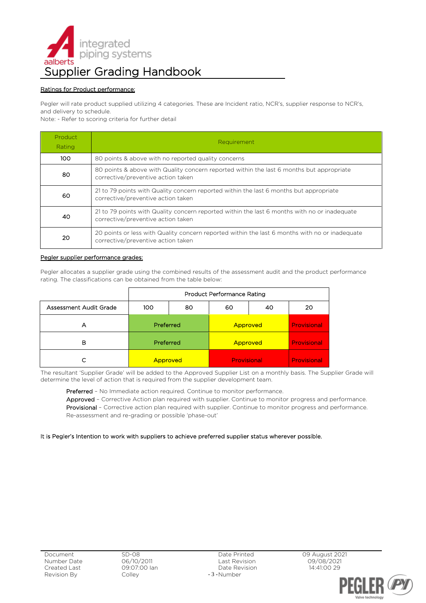

# Ratings for Product performance:

Pegler will rate product supplied utilizing 4 categories. These are Incident ratio, NCR's, supplier response to NCR's, and delivery to schedule.

Note: - Refer to scoring criteria for further detail

| Product<br>Rating | Requirement                                                                                                                          |  |  |  |  |
|-------------------|--------------------------------------------------------------------------------------------------------------------------------------|--|--|--|--|
| 100.              | 80 points & above with no reported quality concerns                                                                                  |  |  |  |  |
| 80                | 80 points & above with Quality concern reported within the last 6 months but appropriate<br>corrective/preventive action taken       |  |  |  |  |
| 60                | 21 to 79 points with Quality concern reported within the last 6 months but appropriate<br>corrective/preventive action taken         |  |  |  |  |
| 40                | 21 to 79 points with Quality concern reported within the last 6 months with no or inadequate<br>corrective/preventive action taken   |  |  |  |  |
| 20                | 20 points or less with Quality concern reported within the last 6 months with no or inadequate<br>corrective/preventive action taken |  |  |  |  |

# Pegler supplier performance grades:

Pegler allocates a supplier grade using the combined results of the assessment audit and the product performance rating. The classifications can be obtained from the table below:

|                        | <b>Product Performance Rating</b> |    |             |    |             |  |
|------------------------|-----------------------------------|----|-------------|----|-------------|--|
| Assessment Audit Grade | 100                               | 80 | 60          | 40 | 20          |  |
| А                      | Preferred                         |    | Approved    |    | Provisional |  |
| в                      | Preferred                         |    | Approved    |    | Provisional |  |
|                        | Approved                          |    | Provisional |    | Provisional |  |

The resultant 'Supplier Grade' will be added to the Approved Supplier List on a monthly basis. The Supplier Grade will determine the level of action that is required from the supplier development team.

Preferred - No Immediate action required. Continue to monitor performance.

Approved – Corrective Action plan required with supplier. Continue to monitor progress and performance. Provisional - Corrective action plan required with supplier. Continue to monitor progress and performance. Re-assessment and re-grading or possible 'phase-out'

# It is Pegler's Intention to work with suppliers to achieve preferred supplier status wherever possible.



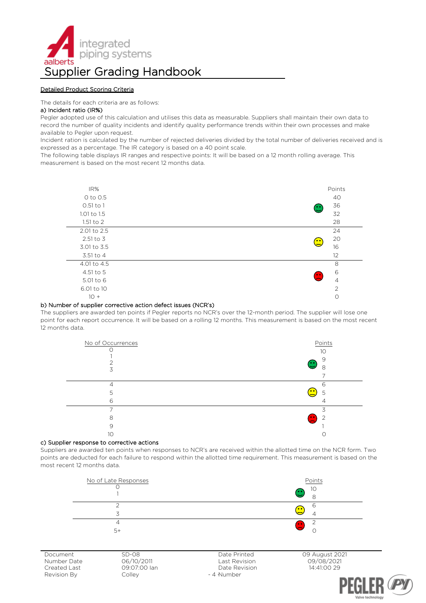

# Detailed Product Scoring Criteria

The details for each criteria are as follows:

#### a) Incident ratio (IR%)

Pegler adopted use of this calculation and utilises this data as measurable. Suppliers shall maintain their own data to record the number of quality incidents and identify quality performance trends within their own processes and make available to Pegler upon request.

Incident ration is calculated by the number of rejected deliveries divided by the total number of deliveries received and is expressed as a percentage. The IR category is based on a 40 point scale.

The following table displays IR ranges and respective points: It will be based on a 12 month rolling average. This measurement is based on the most recent 12 months data.



#### b) Number of supplier corrective action defect issues (NCR's)

The suppliers are awarded ten points if Pegler reports no NCR's over the 12-month period. The supplier will lose one point for each report occurrence. It will be based on a rolling 12 months. This measurement is based on the most recent 12 months data.



#### c) Supplier response to corrective actions

Suppliers are awarded ten points when responses to NCR's are received within the allotted time on the NCR form. Two points are deducted for each failure to respond within the allotted time requirement. This measurement is based on the most recent 12 months data.



Document Number Date Created Last Revision By

SD-08 06/10/2011 09:07:00 Ian Colley

Date Printed Last Revision Date Revision - 4 Number



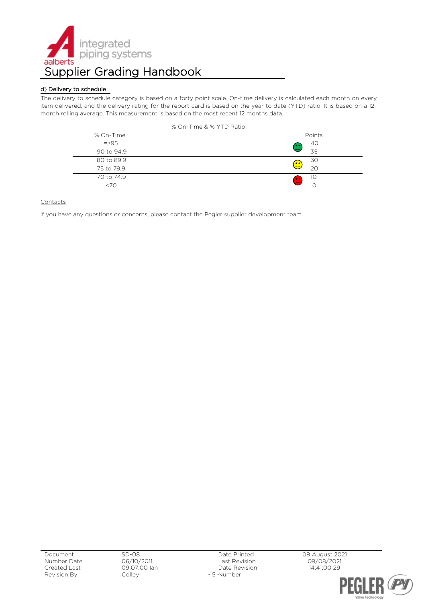

# d) Delivery to schedule

The delivery to schedule category is based on a forty point scale. On-time delivery is calculated each month on every item delivered, and the delivery rating for the report card is based on the year to date (YTD) ratio. It is based on a 12 month rolling average. This measurement is based on the most recent 12 months data.



# **Contacts**

If you have any questions or concerns, please contact the Pegler supplier development team.

Document Number Date Created Last Revision By

Date Printed Last Revision Date Revision - 5 Number

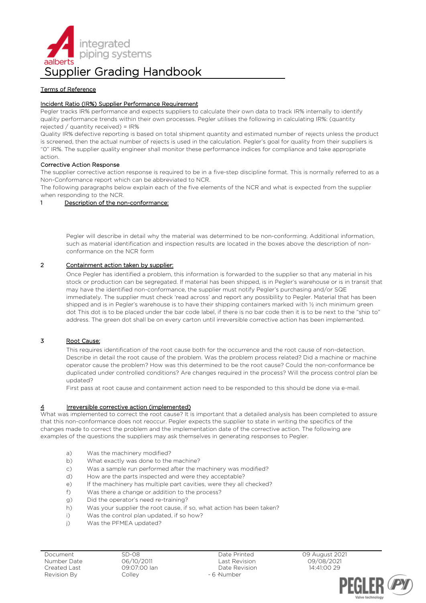

# Terms of Reference

# Incident Ratio (IR%) Supplier Performance Requirement

Pegler tracks IR% performance and expects suppliers to calculate their own data to track IR% internally to identify quality performance trends within their own processes. Pegler utilises the following in calculating IR%: (quantity rejected / quantity received) = IR%

Quality IR% defective reporting is based on total shipment quantity and estimated number of rejects unless the product is screened, then the actual number of rejects is used in the calculation. Pegler's goal for quality from their suppliers is "0" IR%. The supplier quality engineer shall monitor these performance indices for compliance and take appropriate action.

#### Corrective Action Response

The supplier corrective action response is required to be in a five-step discipline format. This is normally referred to as a Non-Conformance report which can be abbreviated to NCR.

The following paragraphs below explain each of the five elements of the NCR and what is expected from the supplier when responding to the NCR.

#### 1 Description of the non-conformance:

Pegler will describe in detail why the material was determined to be non-conforming. Additional information, such as material identification and inspection results are located in the boxes above the description of nonconformance on the NCR form

# 2 Containment action taken by supplier:

Once Pegler has identified a problem, this information is forwarded to the supplier so that any material in his stock or production can be segregated. If material has been shipped, is in Pegler's warehouse or is in transit that may have the identified non-conformance, the supplier must notify Pegler's purchasing and/or SQE immediately. The supplier must check 'read across' and report any possibility to Pegler. Material that has been shipped and is in Pegler's warehouse is to have their shipping containers marked with ½ inch minimum green dot This dot is to be placed under the bar code label, if there is no bar code then it is to be next to the "ship to" address. The green dot shall be on every carton until irreversible corrective action has been implemented.

# 3 Root Cause:

This requires identification of the root cause both for the occurrence and the root cause of non-detection. Describe in detail the root cause of the problem. Was the problem process related? Did a machine or machine operator cause the problem? How was this determined to be the root cause? Could the non-conformance be duplicated under controlled conditions? Are changes required in the process? Will the process control plan be updated?

First pass at root cause and containment action need to be responded to this should be done via e-mail.

# Irreversible corrective action (implemented)

What was implemented to correct the root cause? It is important that a detailed analysis has been completed to assure that this non-conformance does not reoccur. Pegler expects the supplier to state in writing the specifics of the changes made to correct the problem and the implementation date of the corrective action. The following are examples of the questions the suppliers may ask themselves in generating responses to Pegler.

- a) Was the machinery modified?
- b) What exactly was done to the machine?
- c) Was a sample run performed after the machinery was modified?
- d) How are the parts inspected and were they acceptable?
- e) If the machinery has multiple part cavities, were they all checked?
- f) Was there a change or addition to the process?
- g) Did the operator's need re-training?
- h) Was your supplier the root cause, if so, what action has been taken?<br>i) Was the control plan updated, if so how?
- Was the control plan updated, if so how?
- i) Was the PFMEA updated?

Document Number Date Created Last Revision By

Date Printed Last Revision Date Revision - 6 Number